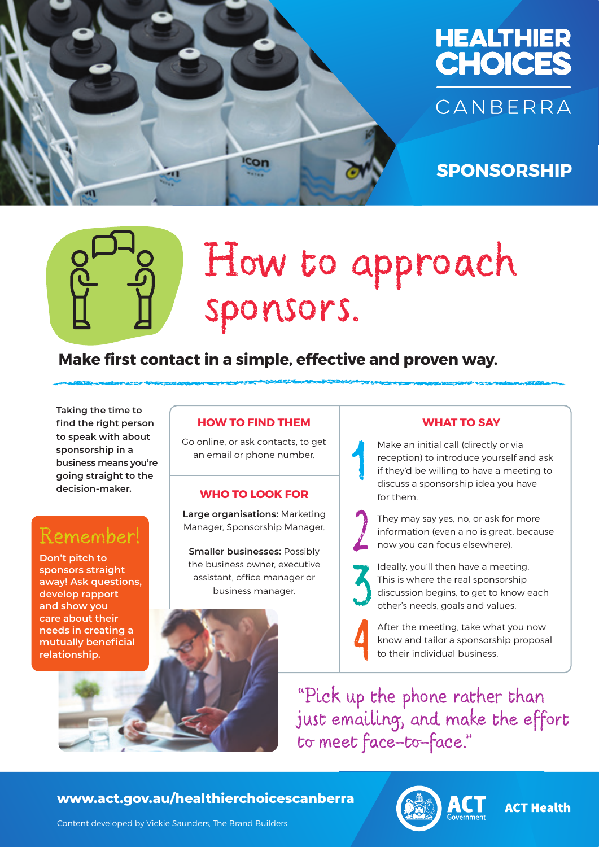



## **SPONSORSHIP**

# How to approach sponsors.

### **Make first contact in a simple, effective and proven way.**

**Taking the time to find the right person to speak with about sponsorship in a business means you're going straight to the decision-maker.** 

## Remember!

**Don't pitch to sponsors straight away! Ask questions, develop rapport and show you care about their needs in creating a mutually beneficial relationship.**

#### **HOW TO FIND THEM**

Go online, or ask contacts, to get an email or phone number.

#### **WHO TO LOOK FOR**

**Large organisations:** Marketing Manager, Sponsorship Manager.

**Smaller businesses:** Possibly the business owner, executive assistant, office manager or business manager.

#### **WHAT TO SAY**

Make an initial call (directly or via reception) to introduce yourself and ask if they'd be willing to have a meeting to discuss a sponsorship idea you have for them.

They may say yes, no, or ask for more information (even a no is great, because now you can focus elsewhere).

Ideally, you'll then have a meeting. This is where the real sponsorship discussion begins, to get to know each other's needs, goals and values.

After the meeting, take what you now know and tailor a sponsorship proposal to their individual business.

"Pick up the phone rather than just emailing, and make the effort to meet face-to-face."

#### HEALTHIER CHOICES CANBERRA **www.act.gov.au/healthierchoicescanberra**



**ACT Health** 

Content developed by Vickie Saunders, The Brand Builders